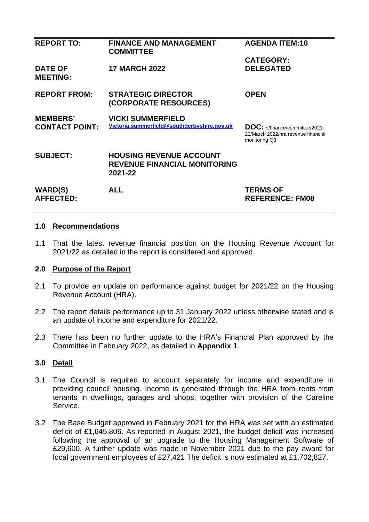| <b>REPORT TO:</b>                  | <b>FINANCE AND MANAGEMENT</b><br><b>COMMITTEE</b>                                | <b>AGENDA ITEM:10</b>                                                                         |
|------------------------------------|----------------------------------------------------------------------------------|-----------------------------------------------------------------------------------------------|
|                                    |                                                                                  | <b>CATEGORY:</b>                                                                              |
| <b>DATE OF</b><br><b>MEETING:</b>  | <b>17 MARCH 2022</b>                                                             | <b>DELEGATED</b>                                                                              |
| <b>REPORT FROM:</b>                | <b>STRATEGIC DIRECTOR</b><br>(CORPORATE RESOURCES)                               | <b>OPEN</b>                                                                                   |
| <b>MEMBERS'</b>                    | <b>VICKI SUMMERFIELD</b>                                                         |                                                                                               |
| <b>CONTACT POINT:</b>              | Victoria.summerfield@southderbyshire.gov.uk                                      | <b>DOC:</b> s/finance/committee/2021-<br>22/March 2022/hra revenue financial<br>monitoring Q3 |
| <b>SUBJECT:</b>                    | <b>HOUSING REVENUE ACCOUNT</b><br><b>REVENUE FINANCIAL MONITORING</b><br>2021-22 |                                                                                               |
| <b>WARD(S)</b><br><b>AFFECTED:</b> | <b>ALL</b>                                                                       | <b>TERMS OF</b><br><b>REFERENCE: FM08</b>                                                     |

#### **1.0 Recommendations**

1.1 That the latest revenue financial position on the Housing Revenue Account for 2021/22 as detailed in the report is considered and approved.

#### **2.0 Purpose of the Report**

- 2.1 To provide an update on performance against budget for 2021/22 on the Housing Revenue Account (HRA).
- 2.2 The report details performance up to 31 January 2022 unless otherwise stated and is an update of income and expenditure for 2021/22.
- 2.3 There has been no further update to the HRA's Financial Plan approved by the Committee in February 2022, as detailed in **Appendix 1**.

#### **3.0 Detail**

- 3.1 The Council is required to account separately for income and expenditure in providing council housing. Income is generated through the HRA from rents from tenants in dwellings, garages and shops, together with provision of the Careline Service.
- 3.2 The Base Budget approved in February 2021 for the HRA was set with an estimated deficit of £1,645,806. As reported in August 2021, the budget deficit was increased following the approval of an upgrade to the Housing Management Software of £29,600. A further update was made in November 2021 due to the pay award for local government employees of £27,421 The deficit is now estimated at £1,702,827.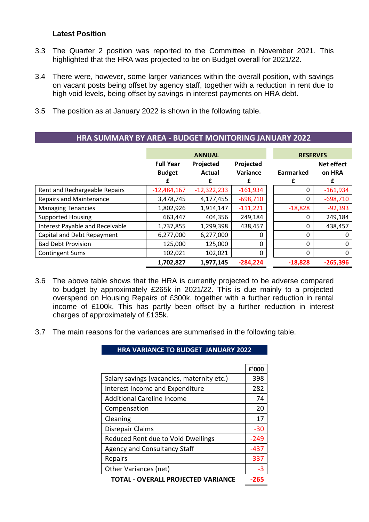#### **Latest Position**

- 3.3 The Quarter 2 position was reported to the Committee in November 2021. This highlighted that the HRA was projected to be on Budget overall for 2021/22.
- 3.4 There were, however, some larger variances within the overall position, with savings on vacant posts being offset by agency staff, together with a reduction in rent due to high void levels, being offset by savings in interest payments on HRA debt.
- 3.5 The position as at January 2022 is shown in the following table.

|                                 |                  | <b>ANNUAL</b> | <b>RESERVES</b> |           |                   |  |  |
|---------------------------------|------------------|---------------|-----------------|-----------|-------------------|--|--|
|                                 | <b>Full Year</b> | Projected     | Projected       |           | <b>Net effect</b> |  |  |
|                                 | <b>Budget</b>    | <b>Actual</b> | Variance        | Earmarked | on HRA            |  |  |
|                                 |                  | f             | £               | f         | £                 |  |  |
| Rent and Rechargeable Repairs   | $-12,484,167$    | $-12,322,233$ | $-161,934$      | 0         | $-161,934$        |  |  |
| <b>Repairs and Maintenance</b>  | 3,478,745        | 4,177,455     | $-698,710$      | 0         | $-698,710$        |  |  |
| <b>Managing Tenancies</b>       | 1,802,926        | 1,914,147     | $-111,221$      | $-18,828$ | $-92,393$         |  |  |
| <b>Supported Housing</b>        | 663,447          | 404,356       | 249,184         | 0         | 249,184           |  |  |
| Interest Payable and Receivable | 1,737,855        | 1,299,398     | 438,457         | 0         | 438,457           |  |  |
| Capital and Debt Repayment      | 6,277,000        | 6,277,000     | 0               | 0         | 0                 |  |  |
| <b>Bad Debt Provision</b>       | 125,000          | 125,000       | $\Omega$        | 0         | 0                 |  |  |
| <b>Contingent Sums</b>          | 102,021          | 102,021       | 0               | $\Omega$  | 0                 |  |  |
|                                 | 1,702,827        | 1,977,145     | $-284,224$      | $-18,828$ | $-265.396$        |  |  |

**HRA SUMMARY BY AREA - BUDGET MONITORING JANUARY 2022**

- 3.6 The above table shows that the HRA is currently projected to be adverse compared to budget by approximately £265k in 2021/22. This is due mainly to a projected overspend on Housing Repairs of £300k, together with a further reduction in rental income of £100k. This has partly been offset by a further reduction in interest charges of approximately of £135k.
- 3.7 The main reasons for the variances are summarised in the following table.

**HRA VARIANCE TO BUDGET JANUARY 2022**

|                                            | £'000  |
|--------------------------------------------|--------|
| Salary savings (vacancies, maternity etc.) | 398    |
| Interest Income and Expenditure            | 282    |
| <b>Additional Careline Income</b>          | 74     |
| Compensation                               | 20     |
| Cleaning                                   | 17     |
| Disrepair Claims                           | -30    |
| Reduced Rent due to Void Dwellings         | $-249$ |
| <b>Agency and Consultancy Staff</b>        | -437   |
| Repairs                                    | -337   |
| Other Variances (net)                      | $-3$   |
| TOTAL - OVERALL PROJECTED VARIANCE         | 265    |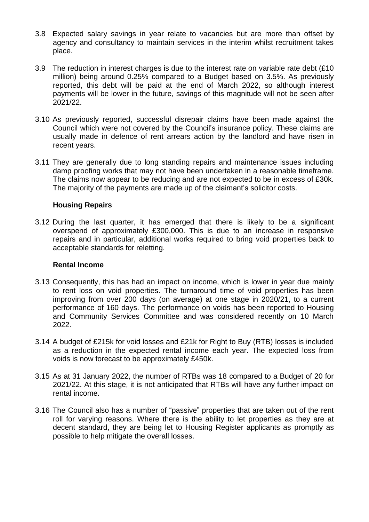- 3.8 Expected salary savings in year relate to vacancies but are more than offset by agency and consultancy to maintain services in the interim whilst recruitment takes place.
- 3.9 The reduction in interest charges is due to the interest rate on variable rate debt (£10 million) being around 0.25% compared to a Budget based on 3.5%. As previously reported, this debt will be paid at the end of March 2022, so although interest payments will be lower in the future, savings of this magnitude will not be seen after 2021/22.
- 3.10 As previously reported, successful disrepair claims have been made against the Council which were not covered by the Council's insurance policy. These claims are usually made in defence of rent arrears action by the landlord and have risen in recent years.
- 3.11 They are generally due to long standing repairs and maintenance issues including damp proofing works that may not have been undertaken in a reasonable timeframe. The claims now appear to be reducing and are not expected to be in excess of £30k. The majority of the payments are made up of the claimant's solicitor costs.

#### **Housing Repairs**

3.12 During the last quarter, it has emerged that there is likely to be a significant overspend of approximately £300,000. This is due to an increase in responsive repairs and in particular, additional works required to bring void properties back to acceptable standards for reletting.

#### **Rental Income**

- 3.13 Consequently, this has had an impact on income, which is lower in year due mainly to rent loss on void properties. The turnaround time of void properties has been improving from over 200 days (on average) at one stage in 2020/21, to a current performance of 160 days. The performance on voids has been reported to Housing and Community Services Committee and was considered recently on 10 March 2022.
- 3.14 A budget of £215k for void losses and £21k for Right to Buy (RTB) losses is included as a reduction in the expected rental income each year. The expected loss from voids is now forecast to be approximately £450k.
- 3.15 As at 31 January 2022, the number of RTBs was 18 compared to a Budget of 20 for 2021/22. At this stage, it is not anticipated that RTBs will have any further impact on rental income.
- 3.16 The Council also has a number of "passive" properties that are taken out of the rent roll for varying reasons. Where there is the ability to let properties as they are at decent standard, they are being let to Housing Register applicants as promptly as possible to help mitigate the overall losses.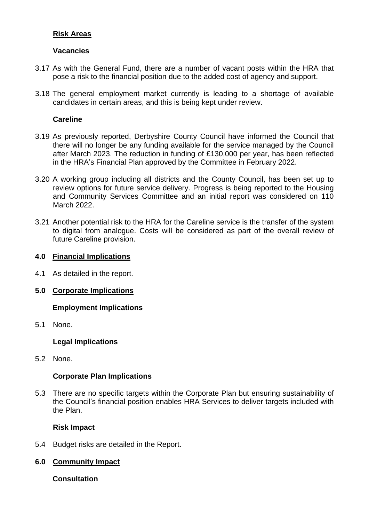#### **Risk Areas**

#### **Vacancies**

- 3.17 As with the General Fund, there are a number of vacant posts within the HRA that pose a risk to the financial position due to the added cost of agency and support.
- 3.18 The general employment market currently is leading to a shortage of available candidates in certain areas, and this is being kept under review.

#### **Careline**

- 3.19 As previously reported, Derbyshire County Council have informed the Council that there will no longer be any funding available for the service managed by the Council after March 2023. The reduction in funding of £130,000 per year, has been reflected in the HRA's Financial Plan approved by the Committee in February 2022.
- 3.20 A working group including all districts and the County Council, has been set up to review options for future service delivery. Progress is being reported to the Housing and Community Services Committee and an initial report was considered on 110 March 2022.
- 3.21 Another potential risk to the HRA for the Careline service is the transfer of the system to digital from analogue. Costs will be considered as part of the overall review of future Careline provision.

#### **4.0 Financial Implications**

- 4.1 As detailed in the report.
- **5.0 Corporate Implications**

#### **Employment Implications**

5.1 None.

#### **Legal Implications**

5.2 None.

#### **Corporate Plan Implications**

5.3 There are no specific targets within the Corporate Plan but ensuring sustainability of the Council's financial position enables HRA Services to deliver targets included with the Plan.

#### **Risk Impact**

5.4 Budget risks are detailed in the Report.

#### **6.0 Community Impact**

**Consultation**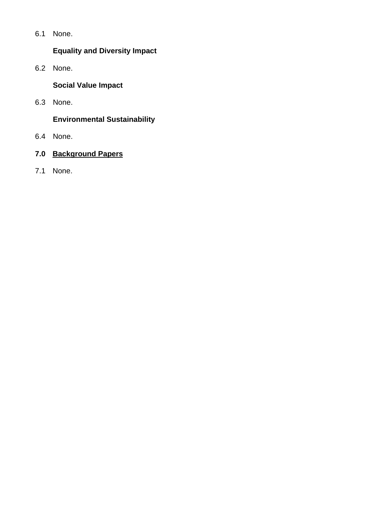6.1 None.

# **Equality and Diversity Impact**

6.2 None.

**Social Value Impact**

6.3 None.

## **Environmental Sustainability**

- 6.4 None.
- **7.0 Background Papers**
- 7.1 None.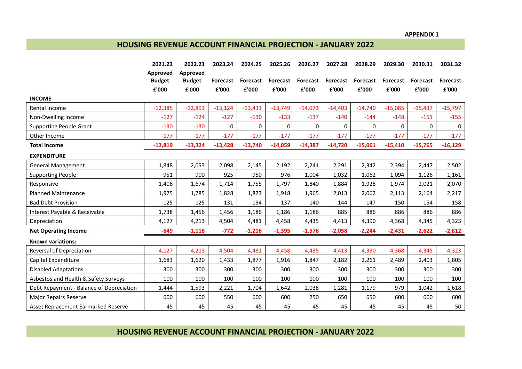**APPENDIX 1**

#### **HOUSING REVENUE ACCOUNT FINANCIAL PROJECTION - JANUARY 2022**

|                                          | 2021.22                            | 2022.23                            | 2023.24                  | 2024.25                  | 2025.26                  | 2026.27                  | 2027.28                  | 2028.29           | 2029.30                  | 2030.31                  | 2031.32           |
|------------------------------------------|------------------------------------|------------------------------------|--------------------------|--------------------------|--------------------------|--------------------------|--------------------------|-------------------|--------------------------|--------------------------|-------------------|
|                                          | Approved<br><b>Budget</b><br>£'000 | Approved<br><b>Budget</b><br>£'000 | <b>Forecast</b><br>£'000 | <b>Forecast</b><br>£'000 | <b>Forecast</b><br>£'000 | <b>Forecast</b><br>£'000 | <b>Forecast</b><br>£'000 | Forecast<br>£'000 | <b>Forecast</b><br>£'000 | <b>Forecast</b><br>£'000 | Forecast<br>£'000 |
| <b>INCOME</b>                            |                                    |                                    |                          |                          |                          |                          |                          |                   |                          |                          |                   |
| Rental Income                            | $-12,385$                          | $-12,893$                          | $-13,124$                | $-13,433$                | $-13,749$                | $-14,073$                | $-14,403$                | $-14,740$         | $-15,085$                | $-15,437$                | $-15,797$         |
| Non-Dwelling Income                      | $-127$                             | $-124$                             | $-127$                   | $-130$                   | $-133$                   | $-137$                   | $-140$                   | $-144$            | $-148$                   | $-151$                   | $-155$            |
| <b>Supporting People Grant</b>           | $-130$                             | $-130$                             | 0                        | $\Omega$                 | $\Omega$                 | 0                        | $\Omega$                 | $\Omega$          | $\Omega$                 | 0                        | $\mathbf 0$       |
| Other Income                             | $-177$                             | $-177$                             | $-177$                   | $-177$                   | $-177$                   | $-177$                   | $-177$                   | $-177$            | $-177$                   | $-177$                   | $-177$            |
| <b>Total Income</b>                      | $-12,819$                          | $-13,324$                          | $-13,428$                | $-13,740$                | $-14,059$                | $-14,387$                | $-14,720$                | $-15,061$         | $-15,410$                | $-15,765$                | $-16,129$         |
| <b>EXPENDITURE</b>                       |                                    |                                    |                          |                          |                          |                          |                          |                   |                          |                          |                   |
| <b>General Management</b>                | 1,848                              | 2,053                              | 2,098                    | 2,145                    | 2,192                    | 2,241                    | 2,291                    | 2,342             | 2,394                    | 2,447                    | 2,502             |
| <b>Supporting People</b>                 | 951                                | 900                                | 925                      | 950                      | 976                      | 1,004                    | 1,032                    | 1,062             | 1,094                    | 1,126                    | 1,161             |
| Responsive                               | 1,406                              | 1,674                              | 1,714                    | 1,755                    | 1,797                    | 1,840                    | 1,884                    | 1,928             | 1,974                    | 2,021                    | 2,070             |
| <b>Planned Maintenance</b>               | 1,975                              | 1,785                              | 1,828                    | 1,873                    | 1.918                    | 1,965                    | 2,013                    | 2,062             | 2,113                    | 2,164                    | 2,217             |
| <b>Bad Debt Provision</b>                | 125                                | 125                                | 131                      | 134                      | 137                      | 140                      | 144                      | 147               | 150                      | 154                      | 158               |
| Interest Payable & Receivable            | 1,738                              | 1,456                              | 1,456                    | 1,186                    | 1,186                    | 1,186                    | 885                      | 886               | 886                      | 886                      | 886               |
| Depreciation                             | 4,127                              | 4,213                              | 4,504                    | 4,481                    | 4,458                    | 4,435                    | 4,413                    | 4,390             | 4,368                    | 4,345                    | 4,323             |
| <b>Net Operating Income</b>              | $-649$                             | $-1,118$                           | $-772$                   | $-1,216$                 | $-1,395$                 | $-1,576$                 | $-2,058$                 | $-2,244$          | $-2,431$                 | $-2,622$                 | $-2,812$          |
| <b>Known variations:</b>                 |                                    |                                    |                          |                          |                          |                          |                          |                   |                          |                          |                   |
| Reversal of Depreciation                 | $-4,127$                           | $-4,213$                           | $-4,504$                 | $-4,481$                 | $-4,458$                 | $-4,435$                 | $-4,413$                 | $-4,390$          | $-4,368$                 | $-4,345$                 | $-4,323$          |
| Capital Expenditure                      | 1,683                              | 1,620                              | 1,433                    | 1,877                    | 1,916                    | 1,847                    | 2,182                    | 2,261             | 2,489                    | 2,403                    | 1,805             |
| <b>Disabled Adaptations</b>              | 300                                | 300                                | 300                      | 300                      | 300                      | 300                      | 300                      | 300               | 300                      | 300                      | 300               |
| Asbestos and Health & Safety Surveys     | 100                                | 100                                | 100                      | 100                      | 100                      | 100                      | 100                      | 100               | 100                      | 100                      | 100               |
| Debt Repayment - Balance of Depreciation | 1,444                              | 1,593                              | 2,221                    | 1,704                    | 1,642                    | 2,038                    | 1,281                    | 1,179             | 979                      | 1,042                    | 1,618             |
| <b>Major Repairs Reserve</b>             | 600                                | 600                                | 550                      | 600                      | 600                      | 250                      | 650                      | 650               | 600                      | 600                      | 600               |
| Asset Replacement Earmarked Reserve      | 45                                 | 45                                 | 45                       | 45                       | 45                       | 45                       | 45                       | 45                | 45                       | 45                       | 50                |

**HOUSING REVENUE ACCOUNT FINANCIAL PROJECTION - JANUARY 2022**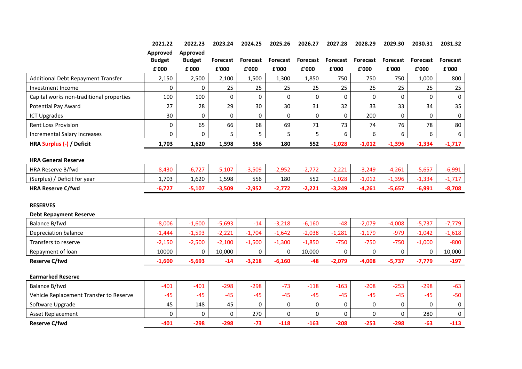|                                          | 2021.22         | 2022.23         | 2023.24         | 2024.25      | 2025.26  | 2026.27  | 2027.28         | 2028.29         | 2029.30         | 2030.31  | 2031.32             |
|------------------------------------------|-----------------|-----------------|-----------------|--------------|----------|----------|-----------------|-----------------|-----------------|----------|---------------------|
|                                          | <b>Approved</b> | <b>Approved</b> |                 |              |          |          |                 |                 |                 |          |                     |
|                                          | <b>Budget</b>   | <b>Budget</b>   | <b>Forecast</b> | Forecast     | Forecast | Forecast | <b>Forecast</b> | <b>Forecast</b> | <b>Forecast</b> | Forecast | <b>Forecast</b>     |
|                                          | £'000           | £'000           | £'000           | £'000        | £'000    | £'000    | £'000           | £'000           | £'000           | £'000    | £'000               |
| Additional Debt Repayment Transfer       | 2,150           | 2,500           | 2,100           | 1,500        | 1,300    | 1,850    | 750             | 750             | 750             | 1,000    | 800                 |
| Investment Income                        | 0               | 0               | 25              | 25           | 25       | 25       | 25              | 25              | 25              | 25       | 25                  |
| Capital works non-traditional properties | 100             | 100             | 0               | $\mathbf 0$  | 0        | 0        | 0               | 0               | 0               | $\Omega$ | $\mathbf 0$         |
| <b>Potential Pay Award</b>               | 27              | 28              | 29              | 30           | 30       | 31       | 32              | 33              | 33              | 34       | 35                  |
| <b>ICT Upgrades</b>                      | 30              | 0               | 0               | $\mathbf{0}$ | 0        | 0        | 0               | 200             | 0               | $\Omega$ | $\mathbf 0$         |
| Rent Loss Provision                      | 0               | 65              | 66              | 68           | 69       | 71       | 73              | 74              | 76              | 78       | 80                  |
| Incremental Salary Increases             | 0               | 0               | 5               | 5            | 5        | 5        | 6               | 6               | 6               | 6        | 6                   |
| HRA Surplus (-) / Deficit                | 1,703           | 1,620           | 1,598           | 556          | 180      | 552      | $-1,028$        | $-1,012$        | $-1,396$        | $-1,334$ | $-1,717$            |
|                                          |                 |                 |                 |              |          |          |                 |                 |                 |          |                     |
| <b>HRA General Reserve</b>               |                 |                 |                 |              |          |          |                 |                 |                 |          |                     |
| HRA Reserve B/fwd                        | $-8,430$        | $-6,727$        | $-5,107$        | $-3,509$     | $-2,952$ | $-2,772$ | $-2,221$        | $-3,249$        | $-4,261$        | $-5,657$ | $-6,991$            |
| (Surplus) / Deficit for year             | 1,703           | 1,620           | 1,598           | 556          | 180      | 552      | $-1,028$        | $-1,012$        | $-1,396$        | $-1,334$ | $-1,717$            |
| <b>HRA Reserve C/fwd</b>                 | $-6,727$        | $-5,107$        | $-3,509$        | $-2,952$     | $-2,772$ | $-2,221$ | $-3,249$        | $-4,261$        | $-5,657$        | $-6,991$ | $-8,708$            |
|                                          |                 |                 |                 |              |          |          |                 |                 |                 |          |                     |
| <b>RESERVES</b>                          |                 |                 |                 |              |          |          |                 |                 |                 |          |                     |
| <b>Debt Repayment Reserve</b>            |                 |                 |                 |              |          |          |                 |                 |                 |          |                     |
| Balance B/fwd                            | $-8,006$        | $-1,600$        | $-5,693$        | $-14$        | $-3,218$ | $-6,160$ | $-48$           | $-2,079$        | $-4,008$        | $-5,737$ | $-7,779$            |
| Depreciation balance                     | $-1,444$        | $-1,593$        | $-2,221$        | $-1,704$     | $-1,642$ | $-2,038$ | $-1,281$        | $-1,179$        | $-979$          | $-1,042$ | $-1,618$            |
| Transfers to reserve                     | $-2,150$        | $-2,500$        | $-2,100$        | $-1,500$     | $-1,300$ | $-1,850$ | $-750$          | $-750$          | $-750$          | $-1,000$ | $-800$              |
| Repayment of loan                        | 10000           | 0               | 10,000          | $\Omega$     | 0        | 10,000   | 0               | 0               | 0               | 0        | 10,000              |
| <b>Reserve C/fwd</b>                     | $-1,600$        | $-5,693$        | $-14$           | $-3,218$     | $-6,160$ | $-48$    | $-2,079$        | $-4,008$        | $-5,737$        | $-7,779$ | $-197$              |
| <b>Earmarked Reserve</b>                 |                 |                 |                 |              |          |          |                 |                 |                 |          |                     |
| Balance B/fwd                            | $-401$          | $-401$          | $-298$          | $-298$       | $-73$    | $-118$   | $-163$          | $-208$          | $-253$          | $-298$   | $-63$               |
| Vehicle Replacement Transfer to Reserve  | $-45$           | $-45$           | $-45$           | $-45$        | $-45$    | $-45$    | $-45$           | $-45$           | $-45$           | $-45$    | $-50$               |
| Software Upgrade                         | 45              | 148             | 45              | $\mathbf 0$  | 0        | 0        | 0               | 0               | 0               | 0        | $\mathsf{O}\xspace$ |
| Asset Replacement                        | 0               | 0               | 0               | 270          | 0        | 0        | 0               | 0               | 0               | 280      | 0                   |
| <b>Reserve C/fwd</b>                     | $-401$          | $-298$          | $-298$          | $-73$        | $-118$   | $-163$   | $-208$          | $-253$          | $-298$          | $-63$    | $-113$              |